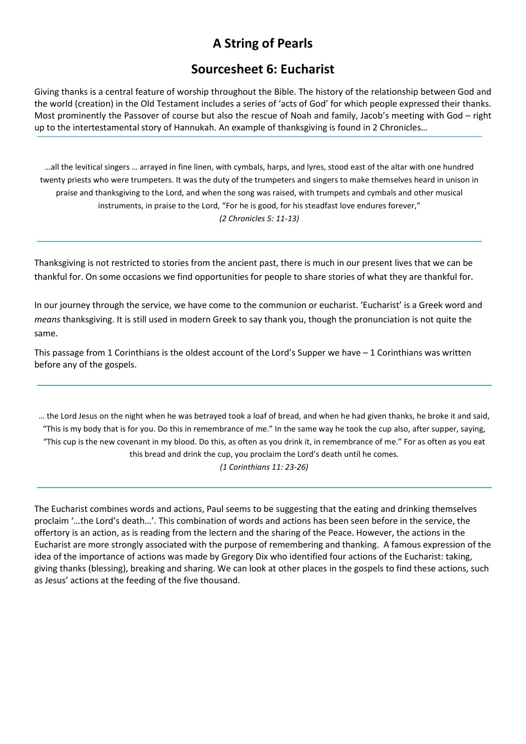# A String of Pearls

# Sourcesheet 6: Eucharist

Giving thanks is a central feature of worship throughout the Bible. The history of the relationship between God and the world (creation) in the Old Testament includes a series of 'acts of God' for which people expressed their thanks. Most prominently the Passover of course but also the rescue of Noah and family, Jacob's meeting with God – right up to the intertestamental story of Hannukah. An example of thanksgiving is found in 2 Chronicles…

…all the levitical singers … arrayed in fine linen, with cymbals, harps, and lyres, stood east of the altar with one hundred twenty priests who were trumpeters. It was the duty of the trumpeters and singers to make themselves heard in unison in praise and thanksgiving to the Lord, and when the song was raised, with trumpets and cymbals and other musical instruments, in praise to the Lord, "For he is good, for his steadfast love endures forever," (2 Chronicles 5: 11-13)

Thanksgiving is not restricted to stories from the ancient past, there is much in our present lives that we can be thankful for. On some occasions we find opportunities for people to share stories of what they are thankful for.

In our journey through the service, we have come to the communion or eucharist. 'Eucharist' is a Greek word and means thanksgiving. It is still used in modern Greek to say thank you, though the pronunciation is not quite the same.

This passage from 1 Corinthians is the oldest account of the Lord's Supper we have – 1 Corinthians was written before any of the gospels.

… the Lord Jesus on the night when he was betrayed took a loaf of bread, and when he had given thanks, he broke it and said, "This is my body that is for you. Do this in remembrance of me." In the same way he took the cup also, after supper, saying, "This cup is the new covenant in my blood. Do this, as often as you drink it, in remembrance of me." For as often as you eat this bread and drink the cup, you proclaim the Lord's death until he comes.

(1 Corinthians 11: 23-26)

The Eucharist combines words and actions, Paul seems to be suggesting that the eating and drinking themselves proclaim '…the Lord's death…'. This combination of words and actions has been seen before in the service, the offertory is an action, as is reading from the lectern and the sharing of the Peace. However, the actions in the Eucharist are more strongly associated with the purpose of remembering and thanking. A famous expression of the idea of the importance of actions was made by Gregory Dix who identified four actions of the Eucharist: taking, giving thanks (blessing), breaking and sharing. We can look at other places in the gospels to find these actions, such as Jesus' actions at the feeding of the five thousand.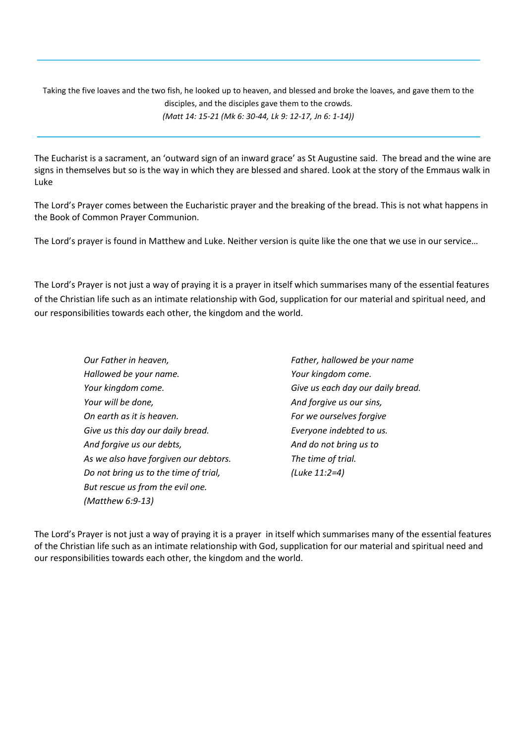Taking the five loaves and the two fish, he looked up to heaven, and blessed and broke the loaves, and gave them to the disciples, and the disciples gave them to the crowds. (Matt 14: 15-21 (Mk 6: 30-44, Lk 9: 12-17, Jn 6: 1-14))

The Eucharist is a sacrament, an 'outward sign of an inward grace' as St Augustine said. The bread and the wine are signs in themselves but so is the way in which they are blessed and shared. Look at the story of the Emmaus walk in Luke

The Lord's Prayer comes between the Eucharistic prayer and the breaking of the bread. This is not what happens in the Book of Common Prayer Communion.

The Lord's prayer is found in Matthew and Luke. Neither version is quite like the one that we use in our service…

The Lord's Prayer is not just a way of praying it is a prayer in itself which summarises many of the essential features of the Christian life such as an intimate relationship with God, supplication for our material and spiritual need, and our responsibilities towards each other, the kingdom and the world.

- Our Father in heaven, Hallowed be your name. Your kingdom come. Your will be done, On earth as it is heaven. Give us this day our daily bread. And forgive us our debts, As we also have forgiven our debtors. Do not bring us to the time of trial, But rescue us from the evil one. (Matthew 6:9-13)
- Father, hallowed be your name Your kingdom come. Give us each day our daily bread. And forgive us our sins, For we ourselves forgive Everyone indebted to us. And do not bring us to The time of trial. (Luke 11:2=4)

The Lord's Prayer is not just a way of praying it is a prayer in itself which summarises many of the essential features of the Christian life such as an intimate relationship with God, supplication for our material and spiritual need and our responsibilities towards each other, the kingdom and the world.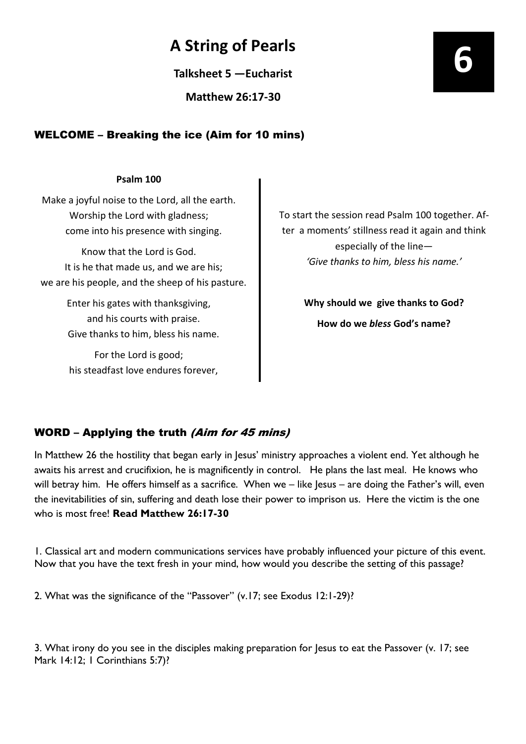# A String of Pearls

Talksheet 5 —Eucharist

Matthew 26:17-30

# WELCOME – Breaking the ice (Aim for 10 mins)

#### Psalm 100

Make a joyful noise to the Lord, all the earth. Worship the Lord with gladness; come into his presence with singing.

Know that the Lord is God. It is he that made us, and we are his; we are his people, and the sheep of his pasture.

> Enter his gates with thanksgiving, and his courts with praise. Give thanks to him, bless his name.

For the Lord is good; his steadfast love endures forever, To start the session read Psalm 100 together. After a moments' stillness read it again and think especially of the line— 'Give thanks to him, bless his name.'

> Why should we give thanks to God? How do we bless God's name?

## WORD – Applying the truth (Aim for 45 mins)

In Matthew 26 the hostility that began early in Jesus' ministry approaches a violent end. Yet although he awaits his arrest and crucifixion, he is magnificently in control. He plans the last meal. He knows who will betray him. He offers himself as a sacrifice. When we – like Jesus – are doing the Father's will, even the inevitabilities of sin, suffering and death lose their power to imprison us. Here the victim is the one who is most free! **Read Matthew 26:17-30** 

1. Classical art and modern communications services have probably influenced your picture of this event. Now that you have the text fresh in your mind, how would you describe the setting of this passage?

2. What was the significance of the "Passover" (v.17; see Exodus 12:1-29)?

3. What irony do you see in the disciples making preparation for Jesus to eat the Passover (v. 17; see Mark 14:12; I Corinthians 5:7)?